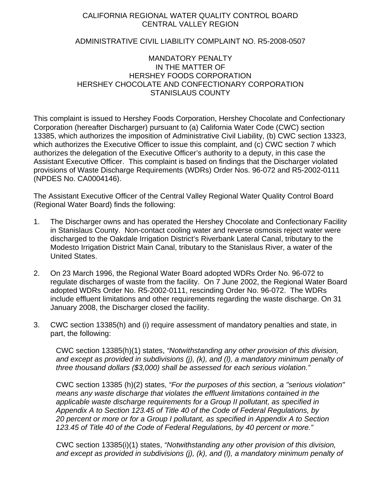## CALIFORNIA REGIONAL WATER QUALITY CONTROL BOARD CENTRAL VALLEY REGION

## ADMINISTRATIVE CIVIL LIABILITY COMPLAINT NO. R5-2008-0507

## MANDATORY PENALTY IN THE MATTER OF HERSHEY FOODS CORPORATION HERSHEY CHOCOLATE AND CONFECTIONARY CORPORATION STANISLAUS COUNTY

This complaint is issued to Hershey Foods Corporation, Hershey Chocolate and Confectionary Corporation (hereafter Discharger) pursuant to (a) California Water Code (CWC) section 13385, which authorizes the imposition of Administrative Civil Liability, (b) CWC section 13323, which authorizes the Executive Officer to issue this complaint, and (c) CWC section 7 which authorizes the delegation of the Executive Officer's authority to a deputy, in this case the Assistant Executive Officer. This complaint is based on findings that the Discharger violated provisions of Waste Discharge Requirements (WDRs) Order Nos. 96-072 and R5-2002-0111 (NPDES No. CA0004146).

The Assistant Executive Officer of the Central Valley Regional Water Quality Control Board (Regional Water Board) finds the following:

- 1. The Discharger owns and has operated the Hershey Chocolate and Confectionary Facility in Stanislaus County. Non-contact cooling water and reverse osmosis reject water were discharged to the Oakdale Irrigation District's Riverbank Lateral Canal, tributary to the Modesto Irrigation District Main Canal, tributary to the Stanislaus River, a water of the United States.
- 2. On 23 March 1996, the Regional Water Board adopted WDRs Order No. 96-072 to regulate discharges of waste from the facility. On 7 June 2002, the Regional Water Board adopted WDRs Order No. R5-2002-0111, rescinding Order No. 96-072. The WDRs include effluent limitations and other requirements regarding the waste discharge. On 31 January 2008, the Discharger closed the facility.
- 3. CWC section 13385(h) and (i) require assessment of mandatory penalties and state, in part, the following:

CWC section 13385(h)(1) states, *"Notwithstanding any other provision of this division, and except as provided in subdivisions (j), (k), and (l), a mandatory minimum penalty of three thousand dollars (\$3,000) shall be assessed for each serious violation."* 

CWC section 13385 (h)(2) states, *"For the purposes of this section, a "serious violation" means any waste discharge that violates the effluent limitations contained in the applicable waste discharge requirements for a Group II pollutant, as specified in Appendix A to Section 123.45 of Title 40 of the Code of Federal Regulations, by 20 percent or more or for a Group I pollutant, as specified in Appendix A to Section 123.45 of Title 40 of the Code of Federal Regulations, by 40 percent or more."* 

CWC section 13385(i)(1) states, *"Notwithstanding any other provision of this division, and except as provided in subdivisions (j), (k), and (l), a mandatory minimum penalty of*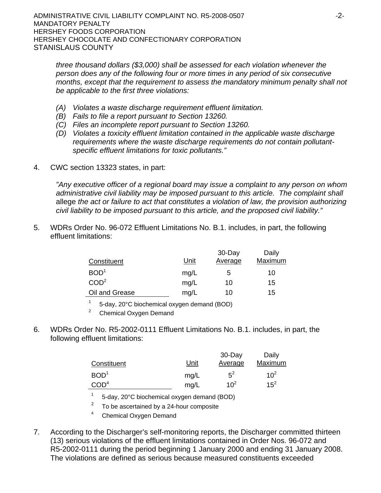*three thousand dollars (\$3,000) shall be assessed for each violation whenever the person does any of the following four or more times in any period of six consecutive months, except that the requirement to assess the mandatory minimum penalty shall not be applicable to the first three violations:*

- *(A) Violates a waste discharge requirement effluent limitation.*
- *(B) Fails to file a report pursuant to Section 13260.*
- *(C) Files an incomplete report pursuant to Section 13260.*
- *(D) Violates a toxicity effluent limitation contained in the applicable waste discharge requirements where the waste discharge requirements do not contain pollutantspecific effluent limitations for toxic pollutants."*
- 4. CWC section 13323 states, in part:

*"Any executive officer of a regional board may issue a complaint to any person on whom administrative civil liability may be imposed pursuant to this article. The complaint shall*  allege *the act or failure to act that constitutes a violation of law, the provision authorizing civil liability to be imposed pursuant to this article, and the proposed civil liability."*

5. WDRs Order No. 96-072 Effluent Limitations No. B.1. includes, in part, the following effluent limitations:

| Constituent      | Unit | 30-Day<br>Average | Daily<br>Maximum |
|------------------|------|-------------------|------------------|
|                  |      |                   |                  |
| BOD <sup>1</sup> | mg/L | b                 | 10               |
| COD <sup>2</sup> | mg/L | 10                | 15               |
| Oil and Grease   | mg/L | 10                | 15               |

1 5-day, 20°C biochemical oxygen demand (BOD)

<sup>2</sup> Chemical Oxygen Demand

6. WDRs Order No. R5-2002-0111 Effluent Limitations No. B.1. includes, in part, the following effluent limitations:

|                  |             | $30 - Day$ | Daily    |
|------------------|-------------|------------|----------|
| Constituent      | <u>Unit</u> | Average    | Maximum  |
| BOD <sup>1</sup> | mg/L        | $5^2$      | $10^{2}$ |
| COD <sup>4</sup> | mg/L        | $10^2$     | $15^2$   |

1 5-day, 20°C biochemical oxygen demand (BOD)

To be ascertained by a 24-hour composite

4 Chemical Oxygen Demand

7. According to the Discharger's self-monitoring reports, the Discharger committed thirteen (13) serious violations of the effluent limitations contained in Order Nos. 96-072 and R5-2002-0111 during the period beginning 1 January 2000 and ending 31 January 2008. The violations are defined as serious because measured constituents exceeded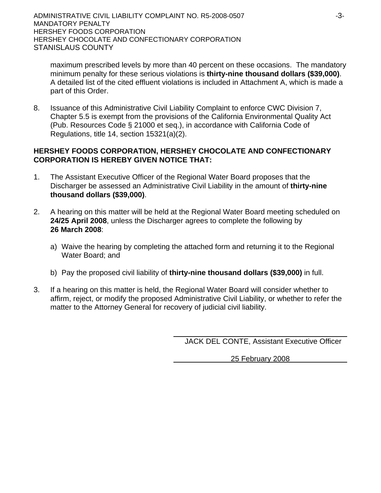maximum prescribed levels by more than 40 percent on these occasions. The mandatory minimum penalty for these serious violations is **thirty-nine thousand dollars (\$39,000)**. A detailed list of the cited effluent violations is included in Attachment A, which is made a part of this Order.

8. Issuance of this Administrative Civil Liability Complaint to enforce CWC Division 7, Chapter 5.5 is exempt from the provisions of the California Environmental Quality Act (Pub. Resources Code § 21000 et seq.), in accordance with California Code of Regulations, title 14, section 15321(a)(2).

# **HERSHEY FOODS CORPORATION, HERSHEY CHOCOLATE AND CONFECTIONARY CORPORATION IS HEREBY GIVEN NOTICE THAT:**

- 1. The Assistant Executive Officer of the Regional Water Board proposes that the Discharger be assessed an Administrative Civil Liability in the amount of **thirty-nine thousand dollars (\$39,000)**.
- 2. A hearing on this matter will be held at the Regional Water Board meeting scheduled on **24/25 April 2008**, unless the Discharger agrees to complete the following by **26 March 2008**:
	- a) Waive the hearing by completing the attached form and returning it to the Regional Water Board; and
	- b) Pay the proposed civil liability of **thirty-nine thousand dollars (\$39,000)** in full.
- 3. If a hearing on this matter is held, the Regional Water Board will consider whether to affirm, reject, or modify the proposed Administrative Civil Liability, or whether to refer the matter to the Attorney General for recovery of judicial civil liability.

JACK DEL CONTE, Assistant Executive Officer

25 February 2008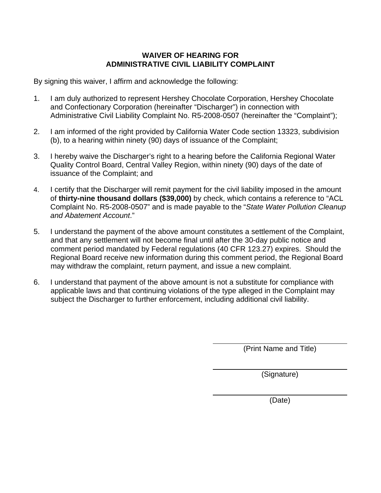# **WAIVER OF HEARING FOR ADMINISTRATIVE CIVIL LIABILITY COMPLAINT**

By signing this waiver, I affirm and acknowledge the following:

- 1. I am duly authorized to represent Hershey Chocolate Corporation, Hershey Chocolate and Confectionary Corporation (hereinafter "Discharger") in connection with Administrative Civil Liability Complaint No. R5-2008-0507 (hereinafter the "Complaint");
- 2. I am informed of the right provided by California Water Code section 13323, subdivision (b), to a hearing within ninety (90) days of issuance of the Complaint;
- 3. I hereby waive the Discharger's right to a hearing before the California Regional Water Quality Control Board, Central Valley Region, within ninety (90) days of the date of issuance of the Complaint; and
- 4. I certify that the Discharger will remit payment for the civil liability imposed in the amount of **thirty-nine thousand dollars (\$39,000)** by check, which contains a reference to "ACL Complaint No. R5-2008-0507" and is made payable to the "*State Water Pollution Cleanup and Abatement Account*."
- 5. I understand the payment of the above amount constitutes a settlement of the Complaint, and that any settlement will not become final until after the 30-day public notice and comment period mandated by Federal regulations (40 CFR 123.27) expires. Should the Regional Board receive new information during this comment period, the Regional Board may withdraw the complaint, return payment, and issue a new complaint.
- 6. I understand that payment of the above amount is not a substitute for compliance with applicable laws and that continuing violations of the type alleged in the Complaint may subject the Discharger to further enforcement, including additional civil liability.

(Print Name and Title)

(Signature)

(Date)